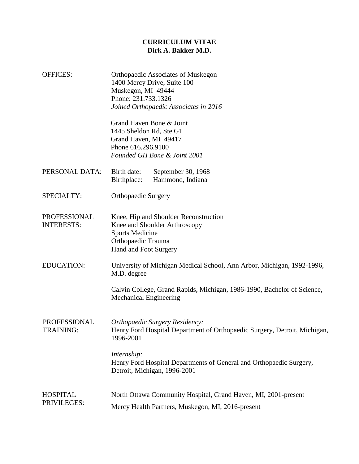## **CURRICULUM VITAE Dirk A. Bakker M.D.**

OFFICES: Orthopaedic Associates of Muskegon

|                                   | 1400 Mercy Drive, Suite 100<br>Muskegon, MI 49444<br>Phone: 231.733.1326<br>Joined Orthopaedic Associates in 2016<br>Grand Haven Bone & Joint<br>1445 Sheldon Rd, Ste G1<br>Grand Haven, MI 49417<br>Phone 616.296.9100                        |
|-----------------------------------|------------------------------------------------------------------------------------------------------------------------------------------------------------------------------------------------------------------------------------------------|
|                                   | Founded GH Bone & Joint 2001                                                                                                                                                                                                                   |
| PERSONAL DATA:                    | Birth date:<br>September 30, 1968<br>Hammond, Indiana<br>Birthplace:                                                                                                                                                                           |
| SPECIALTY:                        | <b>Orthopaedic Surgery</b>                                                                                                                                                                                                                     |
| PROFESSIONAL<br><b>INTERESTS:</b> | Knee, Hip and Shoulder Reconstruction<br>Knee and Shoulder Arthroscopy<br><b>Sports Medicine</b><br>Orthopaedic Trauma<br>Hand and Foot Surgery                                                                                                |
| <b>EDUCATION:</b>                 | University of Michigan Medical School, Ann Arbor, Michigan, 1992-1996,<br>M.D. degree<br>Calvin College, Grand Rapids, Michigan, 1986-1990, Bachelor of Science,<br><b>Mechanical Engineering</b>                                              |
| PROFESSIONAL<br><b>TRAINING:</b>  | Orthopaedic Surgery Residency:<br>Henry Ford Hospital Department of Orthopaedic Surgery, Detroit, Michigan,<br>1996-2001<br>Internship:<br>Henry Ford Hospital Departments of General and Orthopaedic Surgery,<br>Detroit, Michigan, 1996-2001 |
|                                   |                                                                                                                                                                                                                                                |

HOSPITAL PRIVILEGES: North Ottawa Community Hospital, Grand Haven, MI, 2001-present Mercy Health Partners, Muskegon, MI, 2016-present